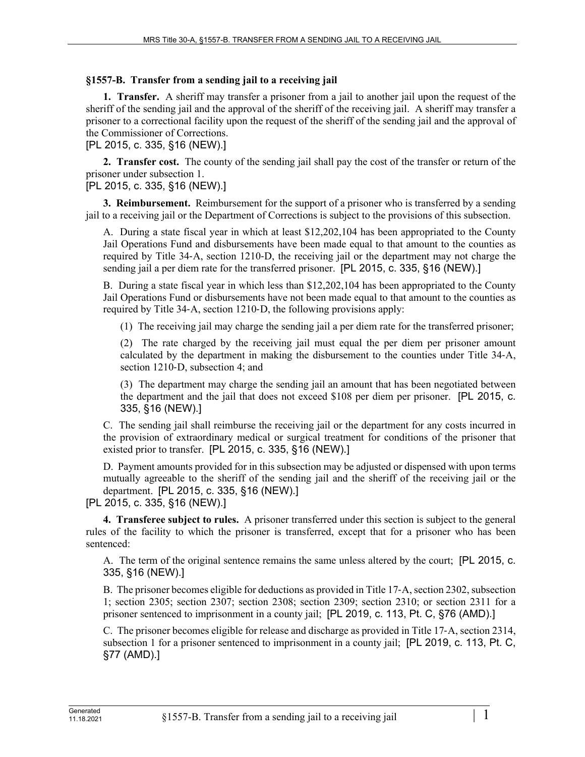## **§1557-B. Transfer from a sending jail to a receiving jail**

**1. Transfer.** A sheriff may transfer a prisoner from a jail to another jail upon the request of the sheriff of the sending jail and the approval of the sheriff of the receiving jail. A sheriff may transfer a prisoner to a correctional facility upon the request of the sheriff of the sending jail and the approval of the Commissioner of Corrections.

[PL 2015, c. 335, §16 (NEW).]

**2. Transfer cost.** The county of the sending jail shall pay the cost of the transfer or return of the prisoner under subsection 1.

## [PL 2015, c. 335, §16 (NEW).]

**3. Reimbursement.** Reimbursement for the support of a prisoner who is transferred by a sending jail to a receiving jail or the Department of Corrections is subject to the provisions of this subsection.

A. During a state fiscal year in which at least \$12,202,104 has been appropriated to the County Jail Operations Fund and disbursements have been made equal to that amount to the counties as required by Title 34‑A, section 1210‑D, the receiving jail or the department may not charge the sending jail a per diem rate for the transferred prisoner. [PL 2015, c. 335, §16 (NEW).]

B. During a state fiscal year in which less than \$12,202,104 has been appropriated to the County Jail Operations Fund or disbursements have not been made equal to that amount to the counties as required by Title 34‑A, section 1210‑D, the following provisions apply:

(1) The receiving jail may charge the sending jail a per diem rate for the transferred prisoner;

(2) The rate charged by the receiving jail must equal the per diem per prisoner amount calculated by the department in making the disbursement to the counties under Title 34‑A, section 1210-D, subsection 4; and

(3) The department may charge the sending jail an amount that has been negotiated between the department and the jail that does not exceed \$108 per diem per prisoner. [PL 2015, c. 335, §16 (NEW).]

C. The sending jail shall reimburse the receiving jail or the department for any costs incurred in the provision of extraordinary medical or surgical treatment for conditions of the prisoner that existed prior to transfer. [PL 2015, c. 335, §16 (NEW).]

D. Payment amounts provided for in this subsection may be adjusted or dispensed with upon terms mutually agreeable to the sheriff of the sending jail and the sheriff of the receiving jail or the department. [PL 2015, c. 335, §16 (NEW).]

[PL 2015, c. 335, §16 (NEW).]

**4. Transferee subject to rules.** A prisoner transferred under this section is subject to the general rules of the facility to which the prisoner is transferred, except that for a prisoner who has been sentenced:

A. The term of the original sentence remains the same unless altered by the court; [PL 2015, c. 335, §16 (NEW).]

B. The prisoner becomes eligible for deductions as provided in Title 17‑A, section 2302, subsection 1; section 2305; section 2307; section 2308; section 2309; section 2310; or section 2311 for a prisoner sentenced to imprisonment in a county jail; [PL 2019, c. 113, Pt. C, §76 (AMD).]

C. The prisoner becomes eligible for release and discharge as provided in Title 17‑A, section 2314, subsection 1 for a prisoner sentenced to imprisonment in a county jail; [PL 2019, c. 113, Pt. C, §77 (AMD).]